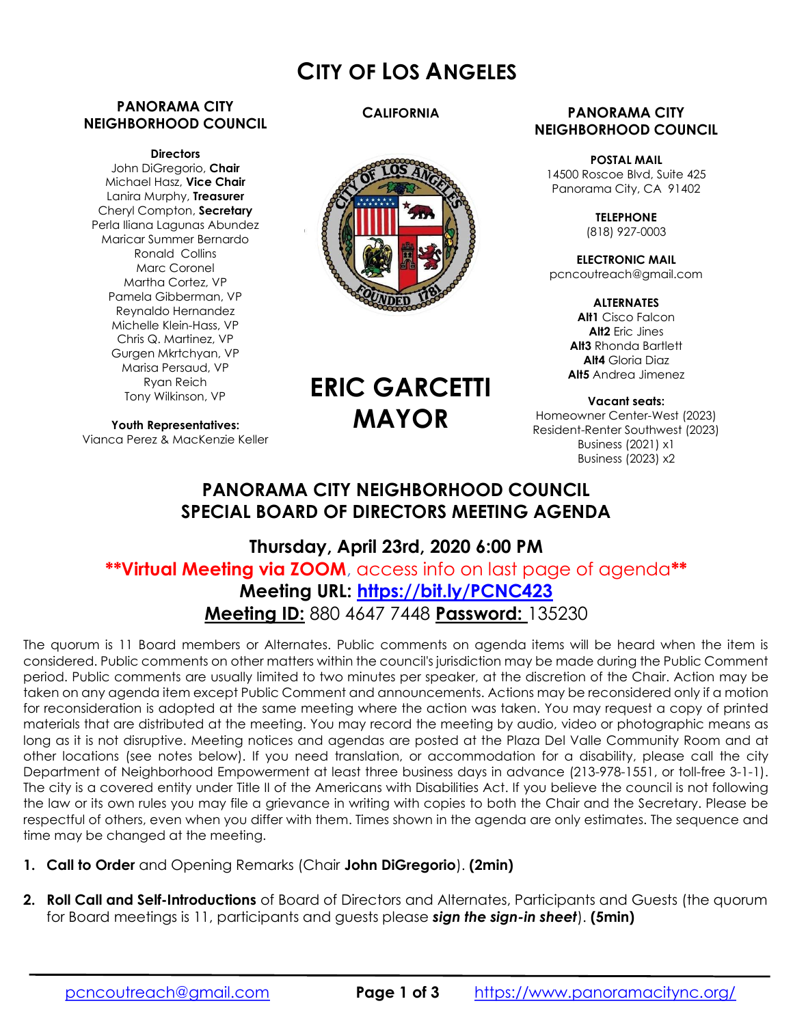# CITY OF LOS ANGELES

**CALIFORNIA** 

### PANORAMA CITY NEIGHBORHOOD COUNCIL

#### **Directors**

John DiGregorio, Chair Michael Hasz, Vice Chair Lanira Murphy, Treasurer Cheryl Compton, Secretary Perla Iliana Lagunas Abundez Maricar Summer Bernardo Ronald Collins Marc Coronel Martha Cortez, VP Pamela Gibberman, VP Reynaldo Hernandez Michelle Klein-Hass, VP Chris Q. Martinez, VP Gurgen Mkrtchyan, VP Marisa Persaud, VP Ryan Reich Tony Wilkinson, VP

Vianca Perez & MacKenzie Keller

Youth Representatives: ERIC GARCETTI MAYOR

### PANORAMA CITY NEIGHBORHOOD COUNCIL

POSTAL MAIL 14500 Roscoe Blvd, Suite 425 Panorama City, CA 91402

> **TELEPHONE** (818) 927-0003

ELECTRONIC MAIL pcncoutreach@gmail.com

> **ALTERNATES** Alt1 Cisco Falcon Alt2 Eric Jines Alt<sub>3</sub> Rhonda Bartlett Alt4 Gloria Diaz Alt5 Andrea Jimenez

Vacant seats: Homeowner Center-West (2023) Resident-Renter Southwest (2023) Business (2021) x1 Business (2023) x2

# PANORAMA CITY NEIGHBORHOOD COUNCIL SPECIAL BOARD OF DIRECTORS MEETING AGENDA

# Thursday, April 23rd, 2020 6:00 PM \*\*Virtual Meeting via ZOOM, access info on last page of agenda\*\* Meeting URL: https://bit.ly/PCNC423 Meeting ID: 880 4647 7448 Password: 135230

The quorum is 11 Board members or Alternates. Public comments on agenda items will be heard when the item is considered. Public comments on other matters within the council's jurisdiction may be made during the Public Comment period. Public comments are usually limited to two minutes per speaker, at the discretion of the Chair. Action may be taken on any agenda item except Public Comment and announcements. Actions may be reconsidered only if a motion for reconsideration is adopted at the same meeting where the action was taken. You may request a copy of printed materials that are distributed at the meeting. You may record the meeting by audio, video or photographic means as long as it is not disruptive. Meeting notices and agendas are posted at the Plaza Del Valle Community Room and at other locations (see notes below). If you need translation, or accommodation for a disability, please call the city Department of Neighborhood Empowerment at least three business days in advance (213-978-1551, or toll-free 3-1-1). The city is a covered entity under Title II of the Americans with Disabilities Act. If you believe the council is not following the law or its own rules you may file a grievance in writing with copies to both the Chair and the Secretary. Please be respectful of others, even when you differ with them. Times shown in the agenda are only estimates. The sequence and time may be changed at the meeting.

- 1. Call to Order and Opening Remarks (Chair John DiGregorio). (2min)
- 2. Roll Call and Self-Introductions of Board of Directors and Alternates, Participants and Guests (the quorum for Board meetings is 11, participants and guests please sign the sign-in sheet). (5min)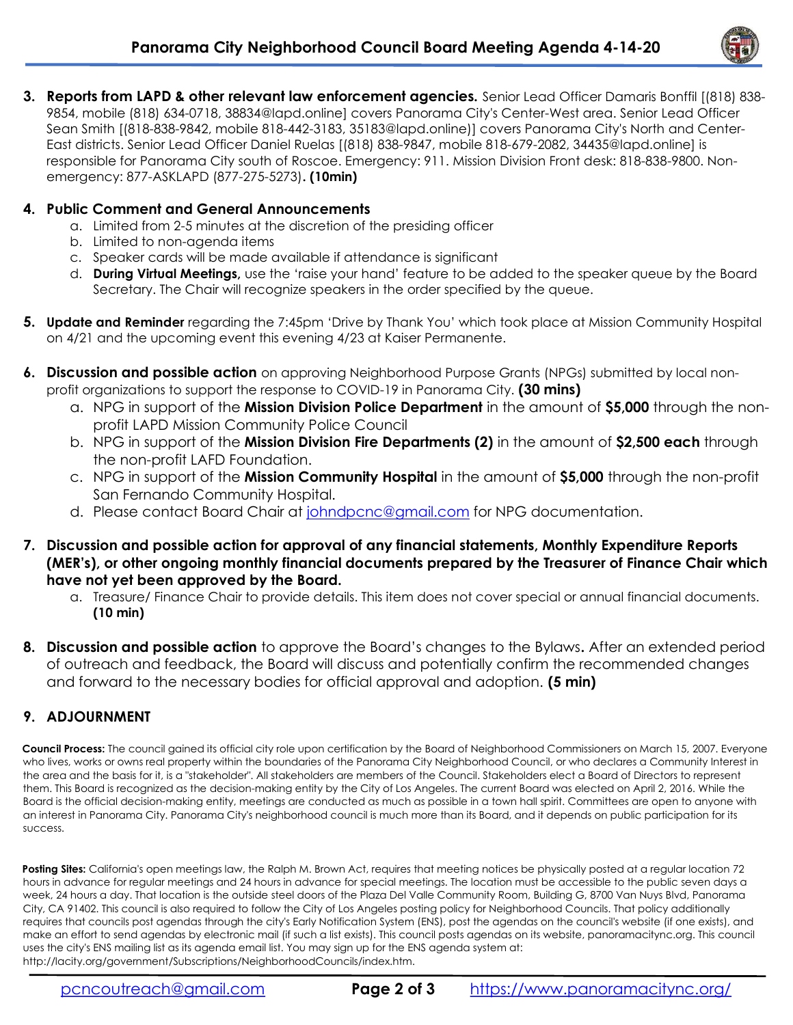

3. Reports from LAPD & other relevant law enforcement agencies. Senior Lead Officer Damaris Bonffil [(818) 838-9854, mobile (818) 634-0718, 38834@lapd.online] covers Panorama City's Center-West area. Senior Lead Officer Sean Smith [(818-838-9842, mobile 818-442-3183, 35183@lapd.online)] covers Panorama City's North and Center-East districts. Senior Lead Officer Daniel Ruelas [(818) 838-9847, mobile 818-679-2082, 34435@lapd.online] is responsible for Panorama City south of Roscoe. Emergency: 911. Mission Division Front desk: 818-838-9800. Nonemergency: 877-ASKLAPD (877-275-5273). (10min)

### 4. Public Comment and General Announcements

- a. Limited from 2-5 minutes at the discretion of the presiding officer
- b. Limited to non-agenda items
- c. Speaker cards will be made available if attendance is significant
- d. **During Virtual Meetings**, use the 'raise your hand' feature to be added to the speaker queue by the Board Secretary. The Chair will recognize speakers in the order specified by the queue.
- 5. Update and Reminder regarding the 7:45pm 'Drive by Thank You' which took place at Mission Community Hospital on 4/21 and the upcoming event this evening 4/23 at Kaiser Permanente.
- 6. Discussion and possible action on approving Neighborhood Purpose Grants (NPGs) submitted by local nonprofit organizations to support the response to COVID-19 in Panorama City. (30 mins)
	- a. NPG in support of the **Mission Division Police Department** in the amount of \$5,000 through the nonprofit LAPD Mission Community Police Council
	- b. NPG in support of the **Mission Division Fire Departments (2)** in the amount of \$2,500 each through the non-profit LAFD Foundation.
	- c. NPG in support of the **Mission Community Hospital** in the amount of \$5,000 through the non-profit San Fernando Community Hospital.
	- d. Please contact Board Chair at johndpcnc@gmail.com for NPG documentation.
- 7. Discussion and possible action for approval of any financial statements, Monthly Expenditure Reports (MER's), or other ongoing monthly financial documents prepared by the Treasurer of Finance Chair which have not yet been approved by the Board.
	- a. Treasure/ Finance Chair to provide details. This item does not cover special or annual financial documents. (10 min)
- 8. Discussion and possible action to approve the Board's changes to the Bylaws. After an extended period of outreach and feedback, the Board will discuss and potentially confirm the recommended changes and forward to the necessary bodies for official approval and adoption. (5 min)

## 9. ADJOURNMENT

Council Process: The council gained its official city role upon certification by the Board of Neighborhood Commissioners on March 15, 2007. Everyone who lives, works or owns real property within the boundaries of the Panorama City Neighborhood Council, or who declares a Community Interest in the area and the basis for it, is a "stakeholder". All stakeholders are members of the Council. Stakeholders elect a Board of Directors to represent them. This Board is recognized as the decision-making entity by the City of Los Angeles. The current Board was elected on April 2, 2016. While the Board is the official decision-making entity, meetings are conducted as much as possible in a town hall spirit. Committees are open to anyone with an interest in Panorama City. Panorama City's neighborhood council is much more than its Board, and it depends on public participation for its success.

Posting Sites: California's open meetings law, the Ralph M. Brown Act, requires that meeting notices be physically posted at a regular location 72 hours in advance for regular meetings and 24 hours in advance for special meetings. The location must be accessible to the public seven days a week, 24 hours a day. That location is the outside steel doors of the Plaza Del Valle Community Room, Building G, 8700 Van Nuys Blvd, Panorama City, CA 91402. This council is also required to follow the City of Los Angeles posting policy for Neighborhood Councils. That policy additionally requires that councils post agendas through the city's Early Notification System (ENS), post the agendas on the council's website (if one exists), and make an effort to send agendas by electronic mail (if such a list exists). This council posts agendas on its website, panoramacitync.org. This council uses the city's ENS mailing list as its agenda email list. You may sign up for the ENS agenda system at: http://lacity.org/government/Subscriptions/NeighborhoodCouncils/index.htm.